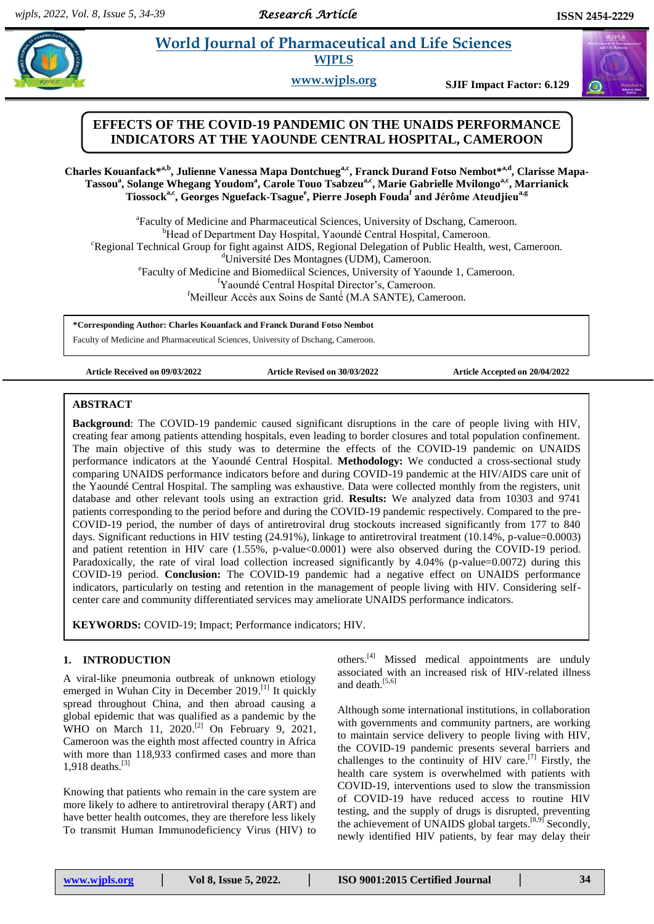# **EXECUTER 19 IN 2018 ISLANGE IN 2018 10 ISLANGE ISLANGE ISLANGE ISLANGE ISLANGE ISLANGE ISLANGE ISLANGE ISLANGE ISLANGE ISLANGE ISLANGE ISLANGE ISLANGE ISLANGE ISLANGE ISLANGE ISLANGE ISLANGE ISLANGE ISLANGE ISLANGE ISLANG**

**WJPLS**

**www.wjpls.org SJIF Impact Factor: 6.129**

# **EFFECTS OF THE COVID-19 PANDEMIC ON THE UNAIDS PERFORMANCE INDICATORS AT THE YAOUNDE CENTRAL HOSPITAL, CAMEROON**

Charles Kouanfack\*<sup>a,b</sup>, Julienne Vanessa Mapa Dontchueg<sup>a,c</sup>, Franck Durand Fotso Nembot\*<sup>a,d</sup>, Clarisse Mapa-Tassou<sup>a</sup>, Solange Whegang Youdom<sup>a</sup>, Carole Touo Tsabzeu<sup>a,c</sup>, Marie Gabrielle Mvilongo<sup>a,c</sup>, Marrianick  $T$ iossock<sup>a,c</sup>, Georges Nguefack-Tsague<sup>e</sup>, Pierre Joseph Fouda<sup>f</sup> and Jérôme Ateudjieu<sup>a,g</sup>

<sup>a</sup> Faculty of Medicine and Pharmaceutical Sciences, University of Dschang, Cameroon. <sup>b</sup>Head of Department Day Hospital, Yaoundé Central Hospital, Cameroon. <sup>c</sup>Regional Technical Group for fight against AIDS, Regional Delegation of Public Health, west, Cameroon. <sup>d</sup>Université Des Montagnes (UDM), Cameroon. e Faculty of Medicine and Biomediical Sciences, University of Yaounde 1, Cameroon. <sup>f</sup>Yaoundé Central Hospital Director's, Cameroon. <sup>f</sup>Meilleur Accès aux Soins de Santé (M.A SANTE), Cameroon.

**\*Corresponding Author: Charles Kouanfack and Franck Durand Fotso Nembot**

Faculty of Medicine and Pharmaceutical Sciences, University of Dschang, Cameroon.

**Article Received on 09/03/2022 Article Revised on 30/03/2022 Article Accepted on 20/04/2022**

#### **ABSTRACT**

**Background**: The COVID-19 pandemic caused significant disruptions in the care of people living with HIV, creating fear among patients attending hospitals, even leading to border closures and total population confinement. The main objective of this study was to determine the effects of the COVID-19 pandemic on UNAIDS performance indicators at the Yaoundé Central Hospital. **Methodology:** We conducted a cross-sectional study comparing UNAIDS performance indicators before and during COVID-19 pandemic at the HIV/AIDS care unit of the Yaoundé Central Hospital. The sampling was exhaustive. Data were collected monthly from the registers, unit database and other relevant tools using an extraction grid. **Results:** We analyzed data from 10303 and 9741 patients corresponding to the period before and during the COVID-19 pandemic respectively. Compared to the pre-COVID-19 period, the number of days of antiretroviral drug stockouts increased significantly from 177 to 840 days. Significant reductions in HIV testing (24.91%), linkage to antiretroviral treatment (10.14%, p-value=0.0003) and patient retention in HIV care (1.55%, p-value<0.0001) were also observed during the COVID-19 period. Paradoxically, the rate of viral load collection increased significantly by 4.04% (p-value=0.0072) during this COVID-19 period. **Conclusion:** The COVID-19 pandemic had a negative effect on UNAIDS performance indicators, particularly on testing and retention in the management of people living with HIV. Considering selfcenter care and community differentiated services may ameliorate UNAIDS performance indicators.

**KEYWORDS:** COVID-19; Impact; Performance indicators; HIV.

### **1. INTRODUCTION**

A viral-like pneumonia outbreak of unknown etiology emerged in Wuhan City in December 2019.<sup>[1]</sup> It quickly spread throughout China, and then abroad causing a global epidemic that was qualified as a pandemic by the WHO on March 11, 2020.<sup>[2]</sup> On February 9, 2021, Cameroon was the eighth most affected country in Africa with more than 118,933 confirmed cases and more than 1,918 deaths. [3]

Knowing that patients who remain in the care system are more likely to adhere to antiretroviral therapy (ART) and have better health outcomes, they are therefore less likely To transmit Human Immunodeficiency Virus (HIV) to

others. [4] Missed medical appointments are unduly associated with an increased risk of HIV-related illness and death.<sup>[5,6]</sup>

Although some international institutions, in collaboration with governments and community partners, are working to maintain service delivery to people living with HIV, the COVID-19 pandemic presents several barriers and challenges to the continuity of HIV care.<sup>[7]</sup> Firstly, the health care system is overwhelmed with patients with COVID-19, interventions used to slow the transmission of COVID-19 have reduced access to routine HIV testing, and the supply of drugs is disrupted, preventing the achievement of UNAIDS global targets.<sup>[8,9]</sup> Secondly, newly identified HIV patients, by fear may delay their

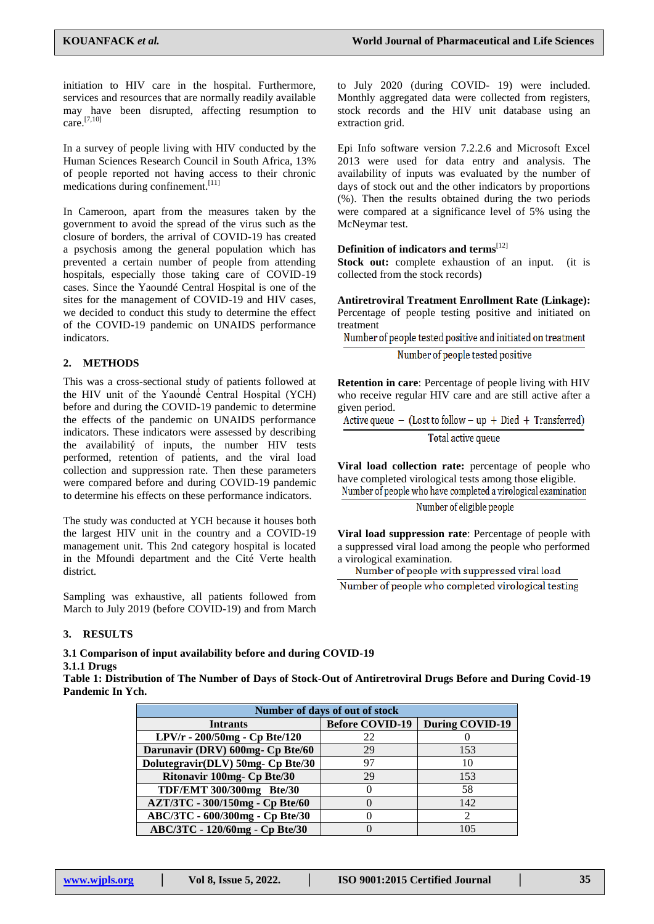initiation to HIV care in the hospital. Furthermore, services and resources that are normally readily available may have been disrupted, affecting resumption to care. [7,10]

In a survey of people living with HIV conducted by the Human Sciences Research Council in South Africa, 13% of people reported not having access to their chronic medications during confinement. [11]

In Cameroon, apart from the measures taken by the government to avoid the spread of the virus such as the closure of borders, the arrival of COVID-19 has created a psychosis among the general population which has prevented a certain number of people from attending hospitals, especially those taking care of COVID-19 cases. Since the Yaoundé Central Hospital is one of the sites for the management of COVID-19 and HIV cases, we decided to conduct this study to determine the effect of the COVID-19 pandemic on UNAIDS performance indicators.

### **2. METHODS**

This was a cross-sectional study of patients followed at the HIV unit of the Yaoundé Central Hospital (YCH) before and during the COVID-19 pandemic to determine the effects of the pandemic on UNAIDS performance indicators. These indicators were assessed by describing the availabilitý of inputs, the number HIV tests performed, retention of patients, and the viral load collection and suppression rate. Then these parameters were compared before and during COVID-19 pandemic to determine his effects on these performance indicators.

The study was conducted at YCH because it houses both the largest HIV unit in the country and a COVID-19 management unit. This 2nd category hospital is located in the Mfoundi department and the Cité Verte health district.

Sampling was exhaustive, all patients followed from March to July 2019 (before COVID-19) and from March

#### **3. RESULTS**

#### **3.1 Comparison of input availability before and during COVID-19 3.1.1 Drugs**

**Table 1: Distribution of The Number of Days of Stock-Out of Antiretroviral Drugs Before and During Covid-19 Pandemic In Ych.**

| Number of days of out of stock    |                        |                 |  |
|-----------------------------------|------------------------|-----------------|--|
| <b>Intrants</b>                   | <b>Before COVID-19</b> | During COVID-19 |  |
| LPV/r - 200/50mg - Cp Bte/120     | 22                     |                 |  |
| Darunavir (DRV) 600mg- Cp Bte/60  | 29                     | 153             |  |
| Dolutegravir(DLV) 50mg- Cp Bte/30 | 97                     | 10              |  |
| Ritonavir 100mg- Cp Bte/30        | 29                     | 153             |  |
| TDF/EMT 300/300mg Bte/30          |                        | 58              |  |
| AZT/3TC - 300/150mg - Cp Bte/60   |                        | 142             |  |
| ABC/3TC - 600/300mg - Cp Bte/30   |                        |                 |  |
| ABC/3TC - 120/60mg - Cp Bte/30    |                        | 105             |  |

to July 2020 (during COVID- 19) were included. Monthly aggregated data were collected from registers, stock records and the HIV unit database using an extraction grid.

Epi Info software version 7.2.2.6 and Microsoft Excel 2013 were used for data entry and analysis. The availability of inputs was evaluated by the number of days of stock out and the other indicators by proportions (%). Then the results obtained during the two periods were compared at a significance level of 5% using the McNeymar test.

# **Definition of indicators and terms**[12]

**Stock out:** complete exhaustion of an input. (it is collected from the stock records)

**Antiretroviral Treatment Enrollment Rate (Linkage):** Percentage of people testing positive and initiated on treatment

Number of people tested positive and initiated on treatment

Number of people tested positive

**Retention in care**: Percentage of people living with HIV who receive regular HIV care and are still active after a given period.

Active queue  $-$  (Lost to follow  $-$  up  $+$  Died  $+$  Transferred)

Total active queue

**Viral load collection rate:** percentage of people who have completed virological tests among those eligible. Number of people who have completed a virological examination

Number of eligible people

**Viral load suppression rate**: Percentage of people with a suppressed viral load among the people who performed a virological examination.

Number of people who completed virological testing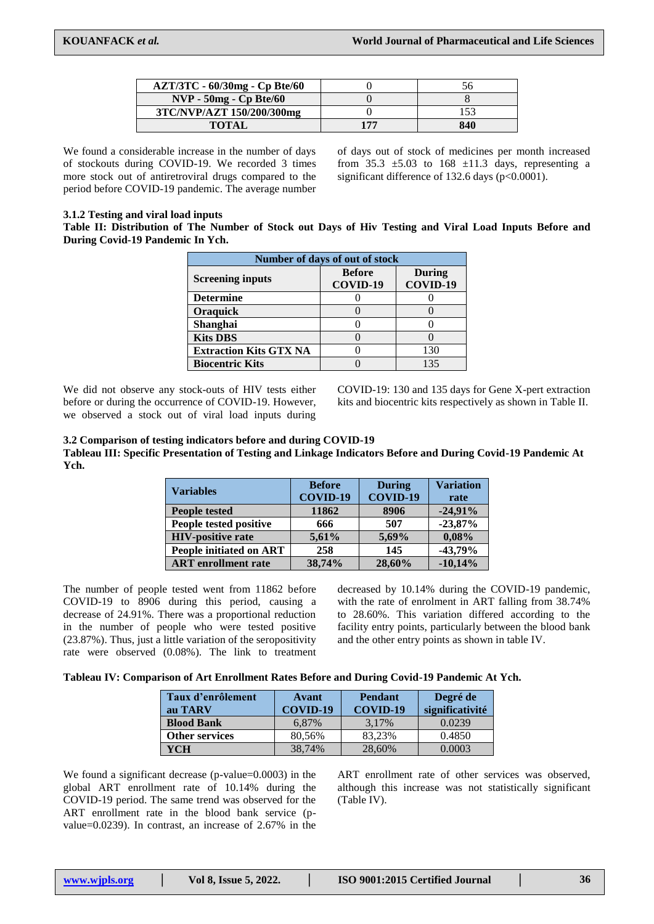| AZT/3TC - 60/30mg - Cp Bte/60 |     |     |
|-------------------------------|-----|-----|
| $NVP - 50mg - Cp Bte/60$      |     |     |
| 3TC/NVP/AZT 150/200/300mg     |     |     |
| <b>TOTAL</b>                  | 177 | 840 |

We found a considerable increase in the number of days of stockouts during COVID-19. We recorded 3 times more stock out of antiretroviral drugs compared to the period before COVID-19 pandemic. The average number

of days out of stock of medicines per month increased from 35.3  $\pm$ 5.03 to 168  $\pm$ 11.3 days, representing a significant difference of 132.6 days (p<0.0001).

### **3.1.2 Testing and viral load inputs**

**Table II: Distribution of The Number of Stock out Days of Hiv Testing and Viral Load Inputs Before and During Covid-19 Pandemic In Ych.**

| Number of days of out of stock |                           |                    |  |
|--------------------------------|---------------------------|--------------------|--|
| <b>Screening inputs</b>        | <b>Before</b><br>COVID-19 | During<br>COVID-19 |  |
| <b>Determine</b>               |                           |                    |  |
| <b>Oraquick</b>                |                           |                    |  |
| Shanghai                       |                           |                    |  |
| <b>Kits DBS</b>                |                           |                    |  |
| <b>Extraction Kits GTX NA</b>  |                           | 130                |  |
| <b>Biocentric Kits</b>         |                           | 135                |  |

We did not observe any stock-outs of HIV tests either before or during the occurrence of COVID-19. However, we observed a stock out of viral load inputs during

COVID-19: 130 and 135 days for Gene X-pert extraction kits and biocentric kits respectively as shown in Table II.

### **3.2 Comparison of testing indicators before and during COVID-19**

**Tableau III: Specific Presentation of Testing and Linkage Indicators Before and During Covid-19 Pandemic At Ych.**

| <b>Variables</b>               | <b>Before</b> | <b>During</b>   | <b>Variation</b> |
|--------------------------------|---------------|-----------------|------------------|
|                                | COVID-19      | <b>COVID-19</b> | rate             |
| <b>People tested</b>           | 11862         | 8906            | $-24,91%$        |
| People tested positive         | 666           | 507             | $-23,87%$        |
| <b>HIV-positive rate</b>       | 5,61%         | 5,69%           | 0.08%            |
| <b>People initiated on ART</b> | 258           | 145             | $-43,79%$        |
| <b>ART</b> enrollment rate     | 38,74%        | 28,60%          | $-10,14%$        |

The number of people tested went from 11862 before COVID-19 to 8906 during this period, causing a decrease of 24.91%. There was a proportional reduction in the number of people who were tested positive (23.87%). Thus, just a little variation of the seropositivity rate were observed (0.08%). The link to treatment

decreased by 10.14% during the COVID-19 pandemic, with the rate of enrolment in ART falling from 38.74% to 28.60%. This variation differed according to the facility entry points, particularly between the blood bank and the other entry points as shown in table IV.

| Taux d'enrôlement<br>au TARV | Avant<br>COVID-19 | <b>Pendant</b><br>COVID-19 | Degré de<br>significativité |
|------------------------------|-------------------|----------------------------|-----------------------------|
| <b>Blood Bank</b>            | 6.87%             | 3.17%                      | 0.0239                      |
| <b>Other services</b>        | 80,56%            | 83.23%                     | 0.4850                      |
| YCH                          | 38.74%            | 28,60%                     | 0.0003                      |

We found a significant decrease (p-value=0.0003) in the global ART enrollment rate of 10.14% during the COVID-19 period. The same trend was observed for the ART enrollment rate in the blood bank service (pvalue=0.0239). In contrast, an increase of 2.67% in the

ART enrollment rate of other services was observed, although this increase was not statistically significant (Table IV).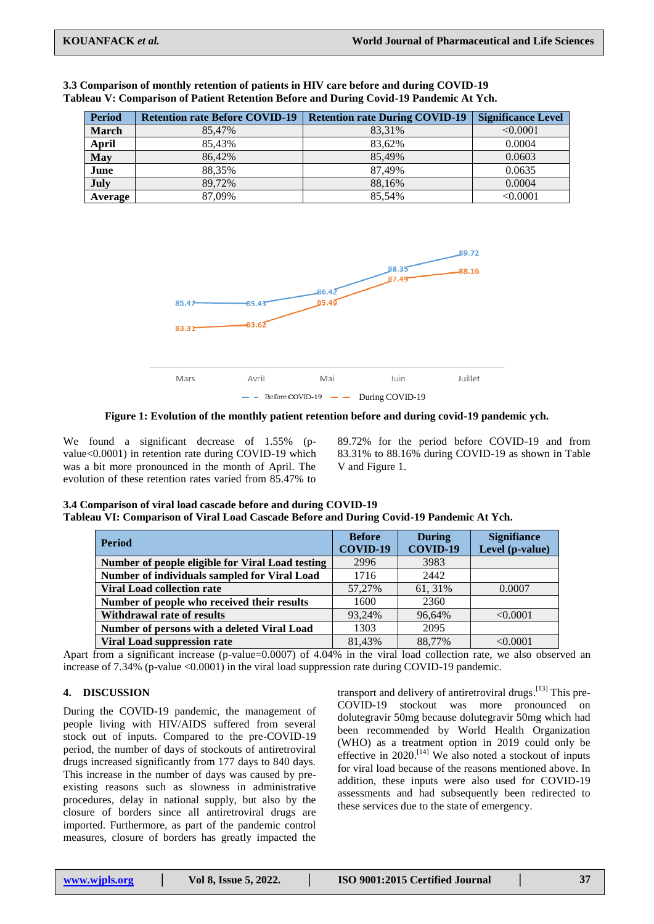| <b>Period</b> | <b>Retention rate Before COVID-19</b> | <b>Retention rate During COVID-19</b> | <b>Significance Level</b> |
|---------------|---------------------------------------|---------------------------------------|---------------------------|
| <b>March</b>  | 85.47%                                | 83.31%                                | $\leq 0.0001$             |
| April         | 85.43%                                | 83.62%                                | 0.0004                    |
| <b>May</b>    | 86.42%                                | 85.49%                                | 0.0603                    |
| June          | 88.35%                                | 87.49%                                | 0.0635                    |
| July          | 89.72%                                | 88.16%                                | 0.0004                    |
| Average       | 87,09%                                | 85.54%                                | < 0.0001                  |

| 3.3 Comparison of monthly retention of patients in HIV care before and during COVID-19 |
|----------------------------------------------------------------------------------------|
| Tableau V: Comparison of Patient Retention Before and During Covid-19 Pandemic At Ych. |



**Figure 1: Evolution of the monthly patient retention before and during covid-19 pandemic ych.**

We found a significant decrease of 1.55% (pvalue<0.0001) in retention rate during COVID-19 which was a bit more pronounced in the month of April. The evolution of these retention rates varied from 85.47% to

89.72% for the period before COVID-19 and from 83.31% to 88.16% during COVID-19 as shown in Table V and Figure 1.

| 3.4 Comparison of viral load cascade before and during COVID-19                          |
|------------------------------------------------------------------------------------------|
| Tableau VI: Comparison of Viral Load Cascade Before and During Covid-19 Pandemic At Ych. |

| <b>Period</b>                                    | <b>Before</b><br>COVID-19 | <b>During</b><br>COVID-19 | <b>Signifiance</b><br>Level (p-value) |
|--------------------------------------------------|---------------------------|---------------------------|---------------------------------------|
| Number of people eligible for Viral Load testing | 2996                      | 3983                      |                                       |
| Number of individuals sampled for Viral Load     | 1716                      | 2442                      |                                       |
| <b>Viral Load collection rate</b>                | 57,27%                    | 61, 31%                   | 0.0007                                |
| Number of people who received their results      | 1600                      | 2360                      |                                       |
| <b>Withdrawal rate of results</b>                | 93.24%                    | 96.64%                    | < 0.0001                              |
| Number of persons with a deleted Viral Load      | 1303                      | 2095                      |                                       |
| <b>Viral Load suppression rate</b>               | 81.43%                    | 88.77%                    | < 0.0001                              |

Apart from a significant increase (p-value=0.0007) of 4.04% in the viral load collection rate, we also observed an increase of 7.34% (p-value <0.0001) in the viral load suppression rate during COVID-19 pandemic.

### **4. DISCUSSION**

During the COVID-19 pandemic, the management of people living with HIV/AIDS suffered from several stock out of inputs. Compared to the pre-COVID-19 period, the number of days of stockouts of antiretroviral drugs increased significantly from 177 days to 840 days. This increase in the number of days was caused by preexisting reasons such as slowness in administrative procedures, delay in national supply, but also by the closure of borders since all antiretroviral drugs are imported. Furthermore, as part of the pandemic control measures, closure of borders has greatly impacted the

transport and delivery of antiretroviral drugs.<sup>[13]</sup> This pre-COVID-19 stockout was more pronounced on dolutegravir 50mg because dolutegravir 50mg which had been recommended by World Health Organization (WHO) as a treatment option in 2019 could only be effective in 2020.<sup>[14]</sup> We also noted a stockout of inputs for viral load because of the reasons mentioned above. In addition, these inputs were also used for COVID-19 assessments and had subsequently been redirected to these services due to the state of emergency.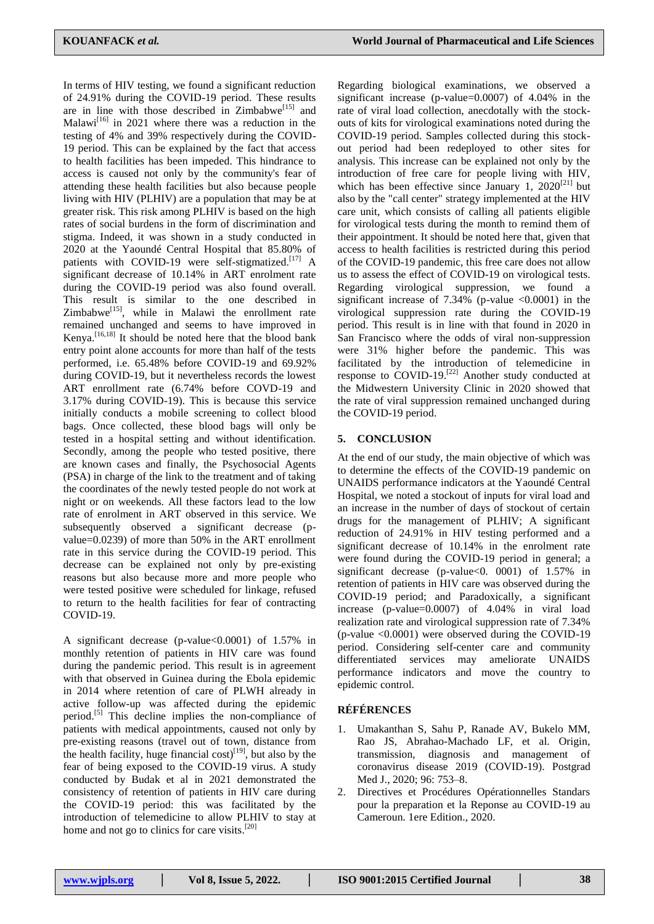In terms of HIV testing, we found a significant reduction of 24.91% during the COVID-19 period. These results are in line with those described in  $Zimbabwe$ <sup>[15]</sup> and Malawi<sup>[16]</sup> in 2021 where there was a reduction in the testing of 4% and 39% respectively during the COVID-19 period. This can be explained by the fact that access to health facilities has been impeded. This hindrance to access is caused not only by the community's fear of attending these health facilities but also because people living with HIV (PLHIV) are a population that may be at greater risk. This risk among PLHIV is based on the high rates of social burdens in the form of discrimination and stigma. Indeed, it was shown in a study conducted in 2020 at the Yaoundé Central Hospital that 85.80% of patients with COVID-19 were self-stigmatized.<sup>[17]</sup> A significant decrease of 10.14% in ART enrolment rate during the COVID-19 period was also found overall. This result is similar to the one described in Zimbabwe<sup>[15]</sup>, while in Malawi the enrollment rate remained unchanged and seems to have improved in Kenya. [16,18] It should be noted here that the blood bank entry point alone accounts for more than half of the tests performed, i.e. 65.48% before COVID-19 and 69.92% during COVID-19, but it nevertheless records the lowest ART enrollment rate (6.74% before COVD-19 and 3.17% during COVID-19). This is because this service initially conducts a mobile screening to collect blood bags. Once collected, these blood bags will only be tested in a hospital setting and without identification. Secondly, among the people who tested positive, there are known cases and finally, the Psychosocial Agents (PSA) in charge of the link to the treatment and of taking the coordinates of the newly tested people do not work at night or on weekends. All these factors lead to the low rate of enrolment in ART observed in this service. We subsequently observed a significant decrease (pvalue=0.0239) of more than 50% in the ART enrollment rate in this service during the COVID-19 period. This decrease can be explained not only by pre-existing reasons but also because more and more people who were tested positive were scheduled for linkage, refused to return to the health facilities for fear of contracting COVID-19.

A significant decrease (p-value<0.0001) of 1.57% in monthly retention of patients in HIV care was found during the pandemic period. This result is in agreement with that observed in Guinea during the Ebola epidemic in 2014 where retention of care of PLWH already in active follow-up was affected during the epidemic period.<sup>[5]</sup> This decline implies the non-compliance of patients with medical appointments, caused not only by pre-existing reasons (travel out of town, distance from the health facility, huge financial  $cost$ <sup>[19]</sup>, but also by the fear of being exposed to the COVID-19 virus. A study conducted by Budak et al in 2021 demonstrated the consistency of retention of patients in HIV care during the COVID-19 period: this was facilitated by the introduction of telemedicine to allow PLHIV to stay at home and not go to clinics for care visits.<sup>[20]</sup>

Regarding biological examinations, we observed a significant increase (p-value=0.0007) of 4.04% in the rate of viral load collection, anecdotally with the stockouts of kits for virological examinations noted during the COVID-19 period. Samples collected during this stockout period had been redeployed to other sites for analysis. This increase can be explained not only by the introduction of free care for people living with HIV, which has been effective since January 1,  $2020^{[21]}$  but also by the "call center" strategy implemented at the HIV care unit, which consists of calling all patients eligible for virological tests during the month to remind them of their appointment. It should be noted here that, given that access to health facilities is restricted during this period of the COVID-19 pandemic, this free care does not allow us to assess the effect of COVID-19 on virological tests. Regarding virological suppression, we found a significant increase of  $7.34\%$  (p-value  $\langle 0.0001 \rangle$ ) in the virological suppression rate during the COVID-19 period. This result is in line with that found in 2020 in San Francisco where the odds of viral non-suppression were 31% higher before the pandemic. This was facilitated by the introduction of telemedicine in response to COVID-19.<sup>[22]</sup> Another study conducted at the Midwestern University Clinic in 2020 showed that the rate of viral suppression remained unchanged during the COVID-19 period.

### **5. CONCLUSION**

At the end of our study, the main objective of which was to determine the effects of the COVID-19 pandemic on UNAIDS performance indicators at the Yaoundé Central Hospital, we noted a stockout of inputs for viral load and an increase in the number of days of stockout of certain drugs for the management of PLHIV; A significant reduction of 24.91% in HIV testing performed and a significant decrease of 10.14% in the enrolment rate were found during the COVID-19 period in general; a significant decrease (p-value  $0$ . 0001) of 1.57% in retention of patients in HIV care was observed during the COVID-19 period; and Paradoxically, a significant increase (p-value=0.0007) of 4.04% in viral load realization rate and virological suppression rate of 7.34% (p-value <0.0001) were observed during the COVID-19 period. Considering self-center care and community differentiated services may ameliorate UNAIDS performance indicators and move the country to epidemic control.

## **RÉFÉRENCES**

- 1. Umakanthan S, Sahu P, Ranade AV, Bukelo MM, Rao JS, Abrahao-Machado LF, et al. Origin, transmission, diagnosis and management of coronavirus disease 2019 (COVID-19). Postgrad Med J., 2020; 96: 753–8.
- 2. Directives et Procédures Opérationnelles Standars pour la preparation et la Reponse au COVID-19 au Cameroun. 1ere Edition., 2020.